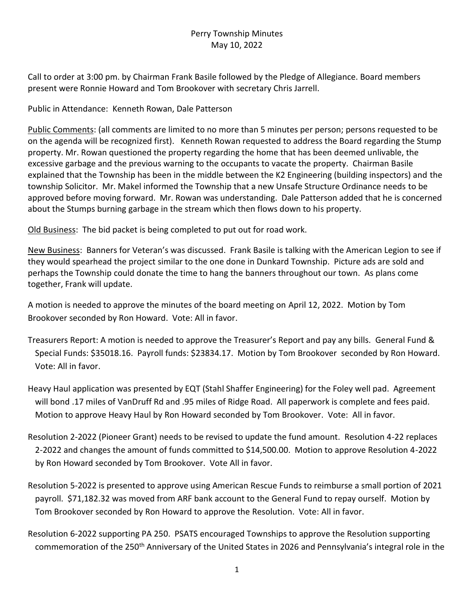## Perry Township Minutes May 10, 2022

Call to order at 3:00 pm. by Chairman Frank Basile followed by the Pledge of Allegiance. Board members present were Ronnie Howard and Tom Brookover with secretary Chris Jarrell.

Public in Attendance: Kenneth Rowan, Dale Patterson

Public Comments: (all comments are limited to no more than 5 minutes per person; persons requested to be on the agenda will be recognized first). Kenneth Rowan requested to address the Board regarding the Stump property. Mr. Rowan questioned the property regarding the home that has been deemed unlivable, the excessive garbage and the previous warning to the occupants to vacate the property. Chairman Basile explained that the Township has been in the middle between the K2 Engineering (building inspectors) and the township Solicitor. Mr. Makel informed the Township that a new Unsafe Structure Ordinance needs to be approved before moving forward. Mr. Rowan was understanding. Dale Patterson added that he is concerned about the Stumps burning garbage in the stream which then flows down to his property.

Old Business: The bid packet is being completed to put out for road work.

New Business: Banners for Veteran's was discussed. Frank Basile is talking with the American Legion to see if they would spearhead the project similar to the one done in Dunkard Township. Picture ads are sold and perhaps the Township could donate the time to hang the banners throughout our town. As plans come together, Frank will update.

A motion is needed to approve the minutes of the board meeting on April 12, 2022. Motion by Tom Brookover seconded by Ron Howard. Vote: All in favor.

- Treasurers Report: A motion is needed to approve the Treasurer's Report and pay any bills. General Fund & Special Funds: \$35018.16. Payroll funds: \$23834.17. Motion by Tom Brookover seconded by Ron Howard. Vote: All in favor.
- Heavy Haul application was presented by EQT (Stahl Shaffer Engineering) for the Foley well pad. Agreement will bond .17 miles of VanDruff Rd and .95 miles of Ridge Road. All paperwork is complete and fees paid. Motion to approve Heavy Haul by Ron Howard seconded by Tom Brookover. Vote: All in favor.
- Resolution 2-2022 (Pioneer Grant) needs to be revised to update the fund amount. Resolution 4-22 replaces 2-2022 and changes the amount of funds committed to \$14,500.00. Motion to approve Resolution 4-2022 by Ron Howard seconded by Tom Brookover. Vote All in favor.
- Resolution 5-2022 is presented to approve using American Rescue Funds to reimburse a small portion of 2021 payroll. \$71,182.32 was moved from ARF bank account to the General Fund to repay ourself. Motion by Tom Brookover seconded by Ron Howard to approve the Resolution. Vote: All in favor.
- Resolution 6-2022 supporting PA 250. PSATS encouraged Townships to approve the Resolution supporting commemoration of the 250<sup>th</sup> Anniversary of the United States in 2026 and Pennsylvania's integral role in the